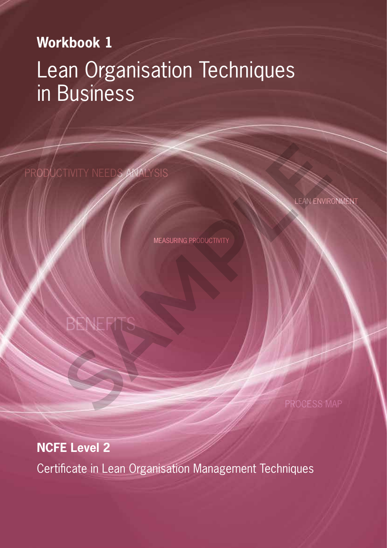# **Workbook 1**

# Lean Organisation Techniques in Business

PRODUCTIVITY NEEDS ANALYSIS NEWITY NEEDS ANALYSIS<br>MEASURING PRODUCTIVITY<br>BENEFITS

BENEFI

LEAN ENVIRONMEN

MEASURING PRODUCTIVITY

# **NCFE Level 2**

Certificate in Lean Organisation Management Techniques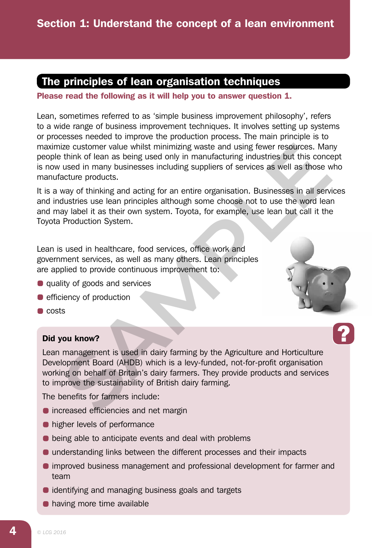# The principles of lean organisation techniques

#### Please read the following as it will help you to answer question 1.

Lean, sometimes referred to as 'simple business improvement philosophy', refers to a wide range of business improvement techniques. It involves setting up systems or processes needed to improve the production process. The main principle is to maximize customer value whilst minimizing waste and using fewer resources. Many people think of lean as being used only in manufacturing industries but this concept is now used in many businesses including suppliers of services as well as those who manufacture products.

It is a way of thinking and acting for an entire organisation. Businesses in all services and industries use lean principles although some choose not to use the word lean and may label it as their own system. Toyota, for example, use lean but call it the Toyota Production System. ize customer value whilst minimizing waste and using fewer resources. Mare think of lean as being used only in manufacturing industries but this concerned used in many businesses including suppliers of services as well as

Lean is used in healthcare, food services, office work and government services, as well as many others. Lean principles are applied to provide continuous improvement to:

- quality of goods and services
- **e** efficiency of production
- $\bullet$  costs

#### Did you know?

Lean management is used in dairy farming by the Agriculture and Horticulture Development Board (AHDB) which is a levy-funded, not-for-profit organisation working on behalf of Britain's dairy farmers. They provide products and services to improve the sustainability of British dairy farming.

The benefits for farmers include:

- **•** increased efficiencies and net margin
- **•** higher levels of performance
- **•** being able to anticipate events and deal with problems
- understanding links between the different processes and their impacts
- improved business management and professional development for farmer and team
- identifying and managing business goals and targets
- **•** having more time available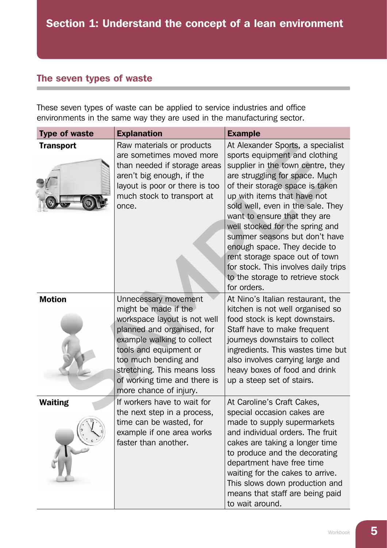## The seven types of waste

These seven types of waste can be applied to service industries and office environments in the same way they are used in the manufacturing sector.

| <b>Type of waste</b> | <b>Explanation</b>                                                                                                                                                                                                                                                                  | <b>Example</b>                                                                                                                                                                                                                                                                                                                                                                                                                                                                                                    |
|----------------------|-------------------------------------------------------------------------------------------------------------------------------------------------------------------------------------------------------------------------------------------------------------------------------------|-------------------------------------------------------------------------------------------------------------------------------------------------------------------------------------------------------------------------------------------------------------------------------------------------------------------------------------------------------------------------------------------------------------------------------------------------------------------------------------------------------------------|
| <b>Transport</b>     | Raw materials or products<br>are sometimes moved more<br>than needed if storage areas<br>aren't big enough, if the<br>layout is poor or there is too<br>much stock to transport at<br>once.                                                                                         | At Alexander Sports, a specialist<br>sports equipment and clothing<br>supplier in the town centre, they<br>are struggling for space. Much<br>of their storage space is taken<br>up with items that have not<br>sold well, even in the sale. They<br>want to ensure that they are<br>well stocked for the spring and<br>summer seasons but don't have<br>enough space. They decide to<br>rent storage space out of town<br>for stock. This involves daily trips<br>to the storage to retrieve stock<br>for orders. |
| <b>Motion</b>        | Unnecessary movement<br>might be made if the<br>workspace layout is not well<br>planned and organised, for<br>example walking to collect<br>tools and equipment or<br>too much bending and<br>stretching. This means loss<br>of working time and there is<br>more chance of injury. | At Nino's Italian restaurant, the<br>kitchen is not well organised so<br>food stock is kept downstairs.<br>Staff have to make frequent<br>journeys downstairs to collect<br>ingredients. This wastes time but<br>also involves carrying large and<br>heavy boxes of food and drink<br>up a steep set of stairs.                                                                                                                                                                                                   |
| <b>Waiting</b>       | If workers have to wait for<br>the next step in a process,<br>time can be wasted, for<br>example if one area works<br>faster than another.                                                                                                                                          | At Caroline's Craft Cakes,<br>special occasion cakes are<br>made to supply supermarkets<br>and individual orders. The fruit<br>cakes are taking a longer time<br>to produce and the decorating<br>department have free time<br>waiting for the cakes to arrive.<br>This slows down production and<br>means that staff are being paid<br>to wait around.                                                                                                                                                           |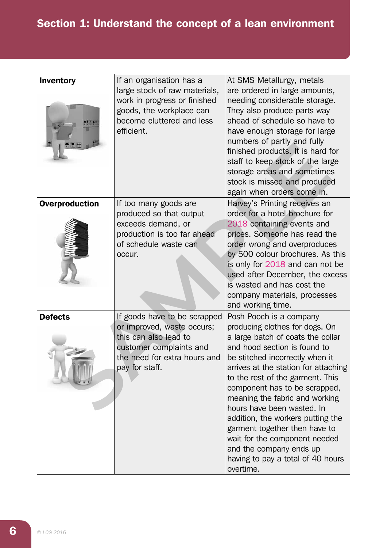# Section 1: Understand the concept of a lean environment

| <b>Inventory</b>      | If an organisation has a<br>large stock of raw materials,<br>work in progress or finished<br>goods, the workplace can<br>become cluttered and less<br>efficient. | At SMS Metallurgy, metals<br>are ordered in large amounts,<br>needing considerable storage.<br>They also produce parts way<br>ahead of schedule so have to<br>have enough storage for large<br>numbers of partly and fully<br>finished products. It is hard for<br>staff to keep stock of the large<br>storage areas and sometimes<br>stock is missed and produced<br>again when orders come in.                                                                                                                                   |
|-----------------------|------------------------------------------------------------------------------------------------------------------------------------------------------------------|------------------------------------------------------------------------------------------------------------------------------------------------------------------------------------------------------------------------------------------------------------------------------------------------------------------------------------------------------------------------------------------------------------------------------------------------------------------------------------------------------------------------------------|
| <b>Overproduction</b> | If too many goods are<br>produced so that output<br>exceeds demand, or<br>production is too far ahead<br>of schedule waste can<br>occur.                         | Harvey's Printing receives an<br>order for a hotel brochure for<br>2018 containing events and<br>prices. Someone has read the<br>order wrong and overproduces<br>by 500 colour brochures. As this<br>is only for 2018 and can not be<br>used after December, the excess<br>is wasted and has cost the<br>company materials, processes<br>and working time.                                                                                                                                                                         |
| <b>Defects</b>        | If goods have to be scrapped<br>or improved, waste occurs;<br>this can also lead to<br>customer complaints and<br>the need for extra hours and<br>pay for staff. | Posh Pooch is a company<br>producing clothes for dogs. On<br>a large batch of coats the collar<br>and hood section is found to<br>be stitched incorrectly when it<br>arrives at the station for attaching<br>to the rest of the garment. This<br>component has to be scrapped,<br>meaning the fabric and working<br>hours have been wasted. In<br>addition, the workers putting the<br>garment together then have to<br>wait for the component needed<br>and the company ends up<br>having to pay a total of 40 hours<br>overtime. |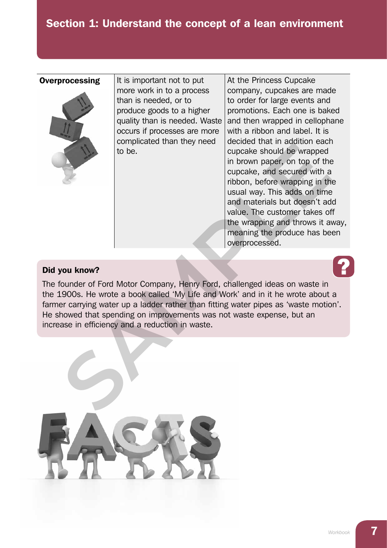# Section 1: Understand the concept of a lean environment



**Overprocessing**  $\vert$  It is important not to put more work in to a process than is needed, or to produce goods to a higher quality than is needed. Waste occurs if processes are more complicated than they need to be.

At the Princess Cupcake company, cupcakes are made to order for large events and promotions. Each one is baked and then wrapped in cellophane with a ribbon and label. It is decided that in addition each cupcake should be wrapped in brown paper, on top of the cupcake, and secured with a ribbon, before wrapping in the usual way. This adds on time and materials but doesn't add value. The customer takes off the wrapping and throws it away, meaning the produce has been overprocessed.

#### Did you know?

The founder of Ford Motor Company, Henry Ford, challenged ideas on waste in the 1900s. He wrote a book called 'My Life and Work' and in it he wrote about a farmer carrying water up a ladder rather than fitting water pipes as 'waste motion'. He showed that spending on improvements was not waste expense, but an increase in efficiency and a reduction in waste.

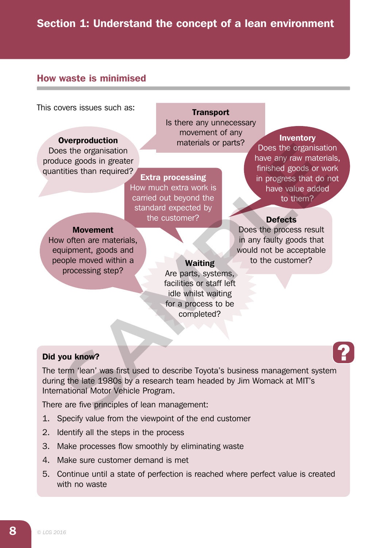# Section 1: Understand the concept of a lean environment

### How waste is minimised

This covers issues such as:

#### **Overproduction**

Does the organisation produce goods in greater quantities than required?

**Transport** Is there any unnecessary movement of any materials or parts?

Extra processing How much extra work is carried out beyond the standard expected by the customer?

#### **Inventory**

Does the organisation have any raw materials, finished goods or work in progress that do not have value added to them?

### **Defects**

Does the process result in any faulty goods that would not be acceptable to the customer?

#### Movement

How often are materials, equipment, goods and people moved within a processing step?

#### **Waiting**

Are parts, systems, facilities or staff left idle whilst waiting for a process to be completed?

#### Did you know?

The term 'lean' was first used to describe Toyota's business management system during the late 1980s by a research team headed by Jim Womack at MIT's International Motor Vehicle Program. Same originalisation and the transformation of the originalisation and the example of the originalisation and the customer's the control of the customer's and the customer's and the customer's and the customer's and the cu

There are five principles of lean management:

- 1. Specify value from the viewpoint of the end customer
- 2. Identify all the steps in the process
- 3. Make processes flow smoothly by eliminating waste
- 4. Make sure customer demand is met
- 5. Continue until a state of perfection is reached where perfect value is created with no waste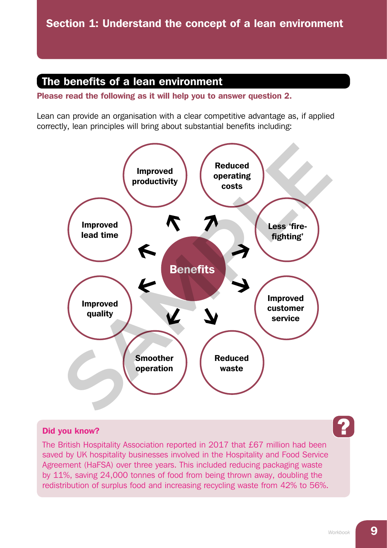## The benefits of a lean environment

Please read the following as it will help you to answer question 2.

Lean can provide an organisation with a clear competitive advantage as, if applied correctly, lean principles will bring about substantial benefits including:



#### Did you know?

The British Hospitality Association reported in 2017 that £67 million had been saved by UK hospitality businesses involved in the Hospitality and Food Service Agreement (HaFSA) over three years. This included reducing packaging waste by 11%, saving 24,000 tonnes of food from being thrown away, doubling the redistribution of surplus food and increasing recycling waste from 42% to 56%.